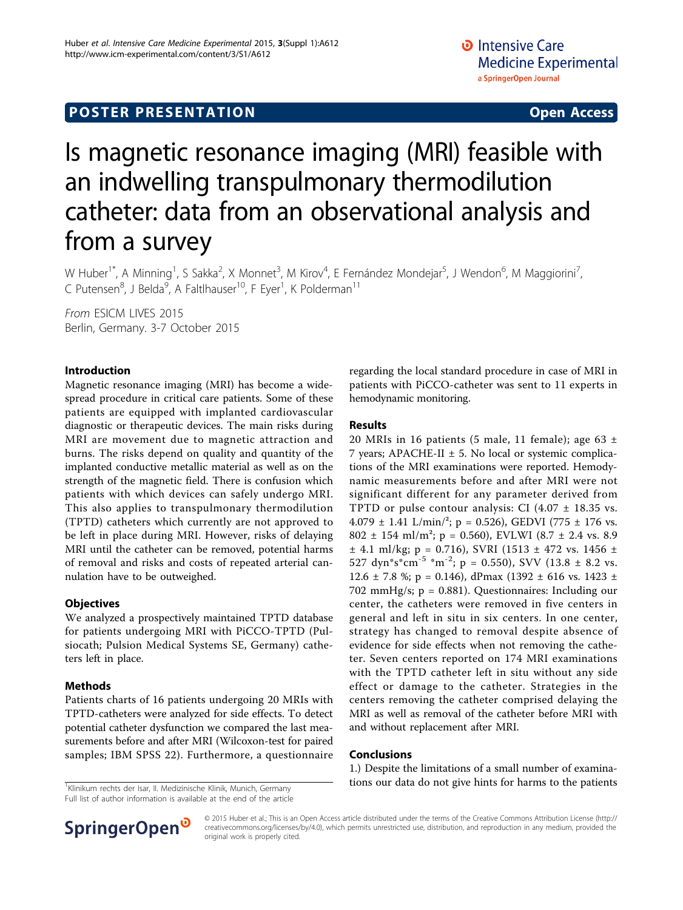# **POSTER PRESENTATION CONSUMING ACCESS**

# Is magnetic resonance imaging (MRI) feasible with an indwelling transpulmonary thermodilution catheter: data from an observational analysis and from a survey

W Huber<sup>1\*</sup>, A Minning<sup>1</sup>, S Sakka<sup>2</sup>, X Monnet<sup>3</sup>, M Kirov<sup>4</sup>, E Fernández Mondejar<sup>5</sup>, J Wendon<sup>6</sup>, M Maggiorini<sup>7</sup> , C Putensen<sup>8</sup>, J Belda<sup>9</sup>, A Faltlhauser<sup>10</sup>, F Eyer<sup>1</sup>, K Polderman<sup>11</sup>

From ESICM LIVES 2015 Berlin, Germany. 3-7 October 2015

#### Introduction

Magnetic resonance imaging (MRI) has become a widespread procedure in critical care patients. Some of these patients are equipped with implanted cardiovascular diagnostic or therapeutic devices. The main risks during MRI are movement due to magnetic attraction and burns. The risks depend on quality and quantity of the implanted conductive metallic material as well as on the strength of the magnetic field. There is confusion which patients with which devices can safely undergo MRI. This also applies to transpulmonary thermodilution (TPTD) catheters which currently are not approved to be left in place during MRI. However, risks of delaying MRI until the catheter can be removed, potential harms of removal and risks and costs of repeated arterial cannulation have to be outweighed.

### **Objectives**

We analyzed a prospectively maintained TPTD database for patients undergoing MRI with PiCCO-TPTD (Pulsiocath; Pulsion Medical Systems SE, Germany) catheters left in place.

### Methods

Patients charts of 16 patients undergoing 20 MRIs with TPTD-catheters were analyzed for side effects. To detect potential catheter dysfunction we compared the last measurements before and after MRI (Wilcoxon-test for paired samples; IBM SPSS 22). Furthermore, a questionnaire

Full list of author information is available at the end of the article

regarding the local standard procedure in case of MRI in patients with PiCCO-catheter was sent to 11 experts in hemodynamic monitoring.

#### Results

20 MRIs in 16 patients (5 male, 11 female); age 63  $\pm$ 7 years; APACHE-II  $\pm$  5. No local or systemic complications of the MRI examinations were reported. Hemodynamic measurements before and after MRI were not significant different for any parameter derived from TPTD or pulse contour analysis: CI  $(4.07 \pm 18.35 \text{ vs.})$ 4.079  $\pm$  1.41 L/min/<sup>2</sup>; p = 0.526), GEDVI (775  $\pm$  176 vs. 802 ± 154 ml/m<sup>2</sup>; p = 0.560), EVLWI (8.7 ± 2.4 vs. 8.9  $\pm$  4.1 ml/kg; p = 0.716), SVRI (1513  $\pm$  472 vs. 1456  $\pm$ 527 dyn\*s\*cm<sup>-5</sup> \*m<sup>-2</sup>; p = 0.550), SVV (13.8 ± 8.2 vs. 12.6  $\pm$  7.8 %; p = 0.146), dPmax (1392  $\pm$  616 vs. 1423  $\pm$ 702 mmHg/s; p = 0.881). Questionnaires: Including our center, the catheters were removed in five centers in general and left in situ in six centers. In one center, strategy has changed to removal despite absence of evidence for side effects when not removing the catheter. Seven centers reported on 174 MRI examinations with the TPTD catheter left in situ without any side effect or damage to the catheter. Strategies in the centers removing the catheter comprised delaying the MRI as well as removal of the catheter before MRI with and without replacement after MRI.

#### Conclusions

1.) Despite the limitations of a small number of examina- $\frac{1}{1}$ Klinikum rechts der Isar, II. Medizinische Klinik, Munich, Germany **tions our data do not give hints for harms to the patients** 



© 2015 Huber et al.; This is an Open Access article distributed under the terms of the Creative Commons Attribution License [\(http://](http://creativecommons.org/licenses/by/4.0) [creativecommons.org/licenses/by/4.0](http://creativecommons.org/licenses/by/4.0)), which permits unrestricted use, distribution, and reproduction in any medium, provided the original work is properly cited.